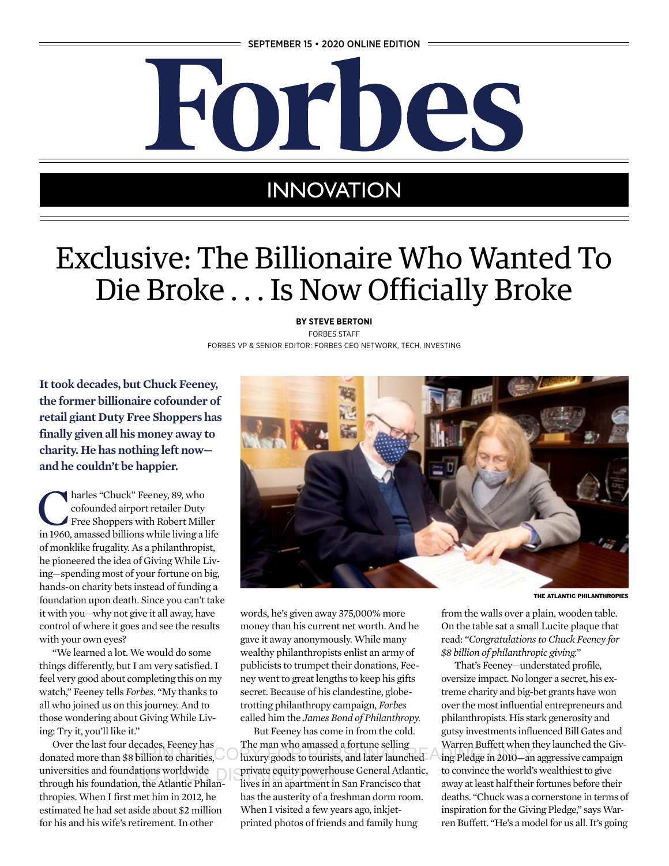

# **INNOVATION**

# Exclusive: The Billionaire Who Wanted To Die Broke . . . Is Now Officially Broke

**BY STEVE BERTONI** FORBES STAFF FORBES VP & SENIOR EDITOR: FORBES CEO NETWORK, TECH, INVESTING

**It took decades, but Chuck Feeney, the former billionaire cofounder of retail giant Duty Free Shoppers has finally given all his money away to charity. He has nothing left now and he couldn't be happier.**

**Charles "Chuck" Feeney, 89, who<br>
cofounded airport retailer Duty<br>
Free Shoppers with Robert Miller<br>
in 1960, amassed billions while living a life** cofounded airport retailer Duty in 1960, amassed billions while living a life of monklike frugality. As a philanthropist, he pioneered the idea of Giving While Living—spending most of your fortune on big, hands-on charity bets instead of funding a foundation upon death. Since you can't take it with you—why not give it all away, have control of where it goes and see the results with your own eyes?

"We learned a lot. We would do some things differently, but I am very satisfied. I feel very good about completing this on my watch," Feeney tells *Forbes*. "My thanks to all who joined us on this journey. And to those wondering about Giving While Living: Try it, you'll like it."

Over the last four decades, Feeney has donated more than \$8 billion to charities, universities and foundations worldwide through his foundation, the Atlantic Philanthropies. When I first met him in 2012, he estimated he had set aside about \$2 million for his and his wife's retirement. In other



THE ATLANTIC PHILANTHROPIES

words, he's given away 375,000% more money than his current net worth. And he gave it away anonymously. While many wealthy philanthropists enlist an army of publicists to trumpet their donations, Feeney went to great lengths to keep his gifts secret. Because of his clandestine, globetrotting philanthropy campaign, *Forbes* called him the *James Bond of Philanthropy.*

But Feeney has come in from the cold. The man who amassed a fortune selling billion to charities, luxury goods to tourists, and later launched ing Pledge in 2010—an a ations worldwide equity powerhouse General Atlantic,<br>a the Atlantic Philan. lives in an apartment in San Francisco that lives in an apartment in San Francisco that has the austerity of a freshman dorm room. When I visited a few years ago, inkjetprinted photos of friends and family hung

from the walls over a plain, wooden table. On the table sat a small Lucite plaque that read: *"Congratulations to Chuck Feeney for \$8 billion of philanthropic giving."*

That's Feeney—understated profile, oversize impact. No longer a secret, his extreme charity and big-bet grants have won over the most influential entrepreneurs and philanthropists. His stark generosity and gutsy investments influenced Bill Gates and Warren Buffett when they launched the Giving Pledge in 2010—an aggressive campaign to convince the world's wealthiest to give away at least half their fortunes before their deaths. "Chuck was a cornerstone in terms of inspiration for the Giving Pledge," says Warren Buffett. "He's a model for us all. It's going